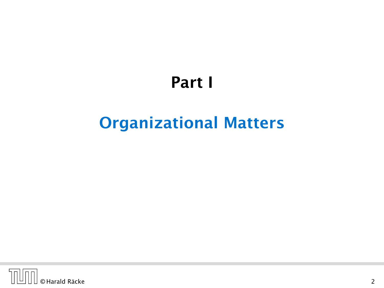# Part I

# <span id="page-0-0"></span>Organizational Matters

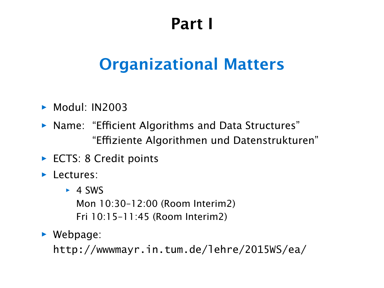# Part I

# [Organizational Matters](#page-0-0)

- *ñ* Modul: IN2003
- *ñ* Name: "Efficient Algorithms and Data Structures" "Effiziente Algorithmen und Datenstrukturen"
- ▶ ECTS: 8 Credit points
- $\blacktriangleright$  Lectures:
	- $\rightarrow$  4 SWS

Mon 10:30–12:00 (Room Interim2) Fri 10:15–11:45 (Room Interim2)

 $\blacktriangleright$  Webpage:

http://wwwmayr.in.tum.de/lehre/2015WS/ea/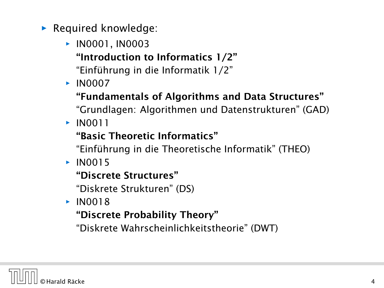- **Formal knowledge:** 
	- *<sup>ñ</sup>* IN0001, IN0003
		- "Introduction to Informatics 1/2"
		- "Einführung in die Informatik 1/2"
	- *<sup>ñ</sup>* IN0007
		- "Fundamentals of Algorithms and Data Structures"
		- "Grundlagen: Algorithmen und Datenstrukturen" (GAD)
	- *<sup>ñ</sup>* IN0011

### "Basic Theoretic Informatics"

"Einführung in die Theoretische Informatik" (THEO)

 $\times$  IN0015

#### "Discrete Structures"

"Diskrete Strukturen" (DS)

 $\blacktriangleright$  IN0018

### "Discrete Probability Theory"

"Diskrete Wahrscheinlichkeitstheorie" (DWT)

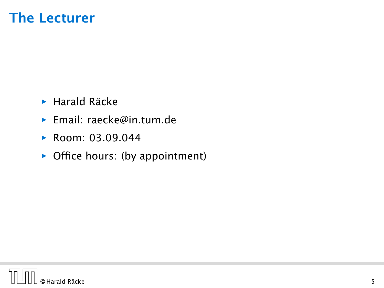## The Lecturer

- **F** Harald Räcke
- *ñ* Email: raecke@in.tum.de
- *ñ* Room: 03.09.044
- **•** Office hours: (by appointment)

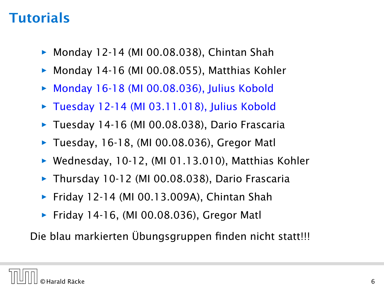## **Tutorials**

- **▶ Monday 12-14 (MI 00.08.038), Chintan Shah**
- ▶ Monday 14-16 (MI 00.08.055), Matthias Kohler
- Monday 16-18 (MI 00.08.036), Julius Kobold
- **► Tuesday 12-14 (MI 03.11.018), Julius Kobold**
- **► Tuesday 14-16 (MI 00.08.038), Dario Frascaria**
- ▶ Tuesday, 16-18, (MI 00.08.036), Gregor Matl
- **▶ Wednesday, 10-12, (MI 01.13.010), Matthias Kohler**
- **Thursday 10-12 (MI 00.08.038), Dario Frascaria**
- **►** Friday 12-14 (MI 00.13.009A), Chintan Shah
- **►** Friday 14-16, (MI 00.08.036), Gregor Matl

Die blau markierten Übungsgruppen finden nicht statt!!!

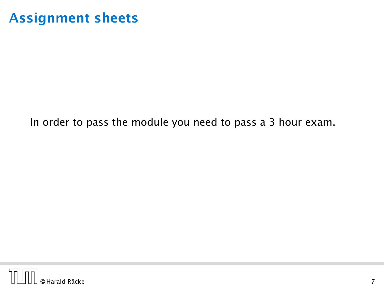## Assignment sheets

#### In order to pass the module you need to pass a 3 hour exam.

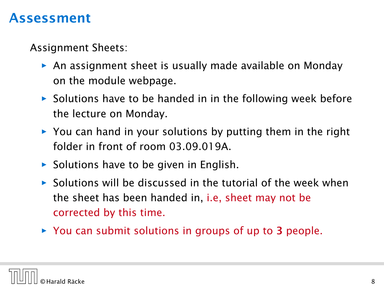### Assessment

Assignment Sheets:

- **An assignment sheet is usually made available on Monday** on the module webpage.
- ▶ Solutions have to be handed in in the following week before the lecture on Monday.
- ▶ You can hand in your solutions by putting them in the right folder in front of room 03.09.019A.
- ▶ Solutions have to be given in English.
- **Folutions will be discussed in the tutorial of the week when** the sheet has been handed in, i.e, sheet may not be corrected by this time.
- **▶ You can submit solutions in groups of up to 3 people.**

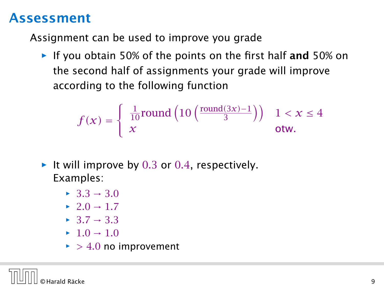### Assessment

Assignment can be used to improve you grade

**Follo** If you obtain 50% of the points on the first half and 50% on the second half of assignments your grade will improve according to the following function

$$
f(x) = \begin{cases} \frac{1}{10} \text{round}\left(10\left(\frac{\text{round}(3x) - 1}{3}\right)\right) & 1 < x \le 4\\ x & \text{otw.} \end{cases}
$$

- ▶ It will improve by 0.3 or 0.4, respectively. Examples:
	- $\rightarrow$  33  $\rightarrow$  30
	- $\rightarrow$  2*.*0  $\rightarrow$  1*.7*
	- $\rightarrow$  3*7*  $\rightarrow$  3*3*
	- $\blacktriangleright$  1*.*0  $\rightarrow$  1*.*0
	- $\blacktriangleright$  > 4.0 no improvement

© Harald Räcke 9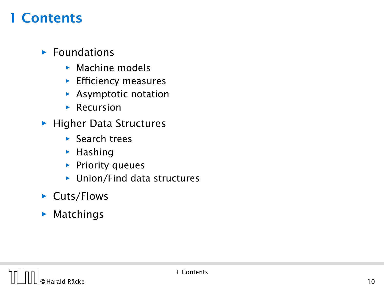## 1 Contents

#### **Foundations**

- **EX** Machine models
- **Efficiency measures**
- **EXA** Asymptotic notation
- *<sup>ñ</sup>* Recursion
- **Figher Data Structures** 
	- *<sup>ñ</sup>* Search trees
	- **F** Hashing
	- **Priority queues**
	- $\blacktriangleright$  Union/Find data structures
- ▶ Cuts/Flows
- $\blacktriangleright$  Matchings

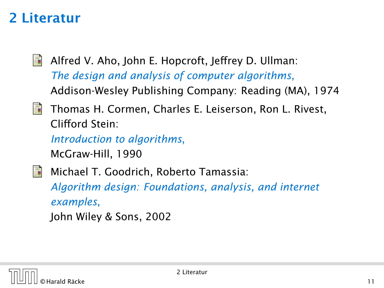# 2 Literatur

- 畐 Alfred V. Aho, John E. Hopcroft, Jeffrey D. Ullman: *The design and analysis of computer algorithms*, Addison-Wesley Publishing Company: Reading (MA), 1974
- Thomas H. Cormen, Charles E. Leiserson, Ron L. Rivest, 螶 Clifford Stein:

*Introduction to algorithms*,

McGraw-Hill, 1990

F Michael T. Goodrich, Roberto Tamassia:

*Algorithm design: Foundations, analysis, and internet examples*, John Wiley & Sons, 2002

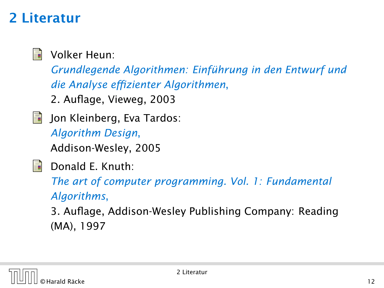# 2 Literatur



Volker Heun:

*Grundlegende Algorithmen: Einführung in den Entwurf und die Analyse effizienter Algorithmen*,

2. Auflage, Vieweg, 2003

螶 Jon Kleinberg, Eva Tardos:

> *Algorithm Design*, Addison-Wesley, 2005



Donald E. Knuth:

*The art of computer programming. Vol. 1: Fundamental Algorithms*,

3. Auflage, Addison-Wesley Publishing Company: Reading (MA), 1997